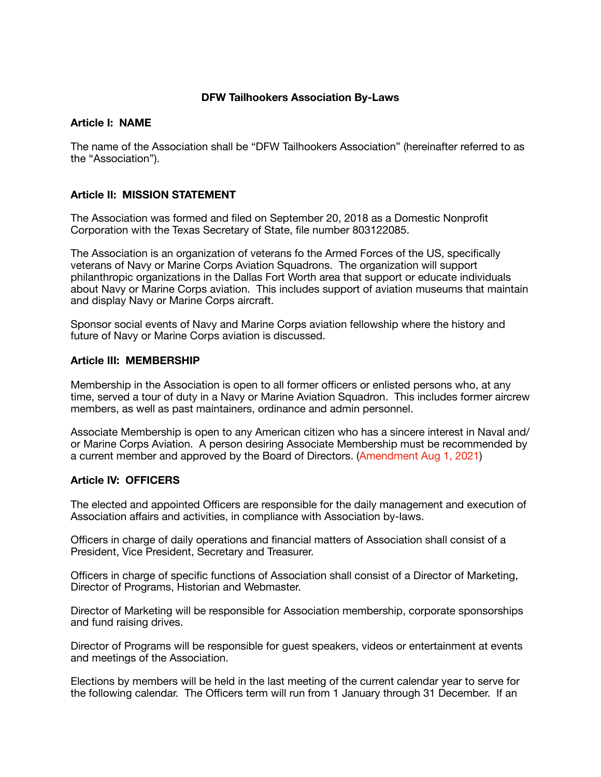# **DFW Tailhookers Association By-Laws**

### **Article I: NAME**

The name of the Association shall be "DFW Tailhookers Association" (hereinafter referred to as the "Association").

# **Article II: MISSION STATEMENT**

The Association was formed and filed on September 20, 2018 as a Domestic Nonprofit Corporation with the Texas Secretary of State, file number 803122085.

The Association is an organization of veterans fo the Armed Forces of the US, specifically veterans of Navy or Marine Corps Aviation Squadrons. The organization will support philanthropic organizations in the Dallas Fort Worth area that support or educate individuals about Navy or Marine Corps aviation. This includes support of aviation museums that maintain and display Navy or Marine Corps aircraft.

Sponsor social events of Navy and Marine Corps aviation fellowship where the history and future of Navy or Marine Corps aviation is discussed.

# **Article III: MEMBERSHIP**

Membership in the Association is open to all former officers or enlisted persons who, at any time, served a tour of duty in a Navy or Marine Aviation Squadron. This includes former aircrew members, as well as past maintainers, ordinance and admin personnel.

Associate Membership is open to any American citizen who has a sincere interest in Naval and/ or Marine Corps Aviation. A person desiring Associate Membership must be recommended by a current member and approved by the Board of Directors. (Amendment Aug 1, 2021)

# **Article IV: OFFICERS**

The elected and appointed Officers are responsible for the daily management and execution of Association affairs and activities, in compliance with Association by-laws.

Officers in charge of daily operations and financial matters of Association shall consist of a President, Vice President, Secretary and Treasurer.

Officers in charge of specific functions of Association shall consist of a Director of Marketing, Director of Programs, Historian and Webmaster.

Director of Marketing will be responsible for Association membership, corporate sponsorships and fund raising drives.

Director of Programs will be responsible for guest speakers, videos or entertainment at events and meetings of the Association.

Elections by members will be held in the last meeting of the current calendar year to serve for the following calendar. The Officers term will run from 1 January through 31 December. If an